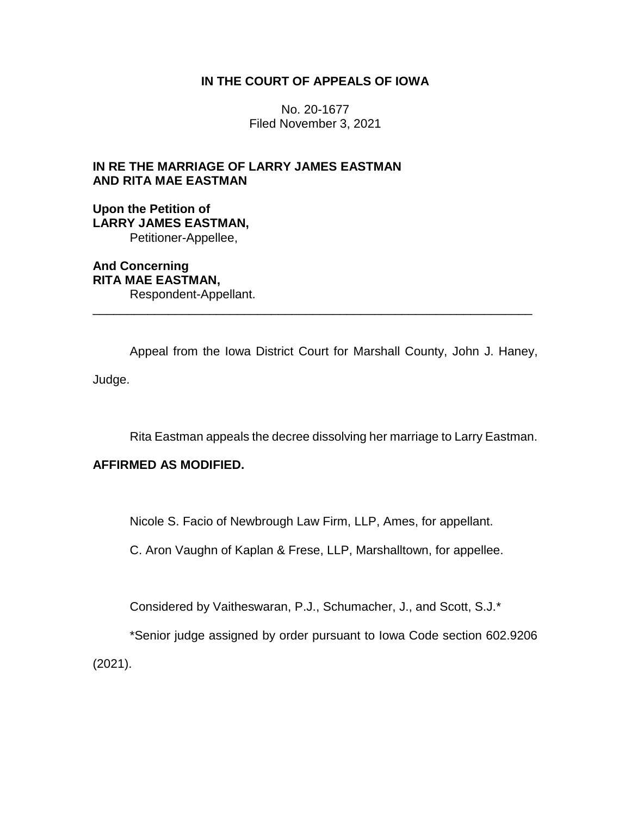## **IN THE COURT OF APPEALS OF IOWA**

No. 20-1677 Filed November 3, 2021

# **IN RE THE MARRIAGE OF LARRY JAMES EASTMAN AND RITA MAE EASTMAN**

**Upon the Petition of LARRY JAMES EASTMAN,** Petitioner-Appellee,

**And Concerning RITA MAE EASTMAN,** Respondent-Appellant.

Appeal from the Iowa District Court for Marshall County, John J. Haney, Judge.

\_\_\_\_\_\_\_\_\_\_\_\_\_\_\_\_\_\_\_\_\_\_\_\_\_\_\_\_\_\_\_\_\_\_\_\_\_\_\_\_\_\_\_\_\_\_\_\_\_\_\_\_\_\_\_\_\_\_\_\_\_\_\_\_

Rita Eastman appeals the decree dissolving her marriage to Larry Eastman.

# **AFFIRMED AS MODIFIED.**

Nicole S. Facio of Newbrough Law Firm, LLP, Ames, for appellant.

C. Aron Vaughn of Kaplan & Frese, LLP, Marshalltown, for appellee.

Considered by Vaitheswaran, P.J., Schumacher, J., and Scott, S.J.\*

\*Senior judge assigned by order pursuant to Iowa Code section 602.9206 (2021).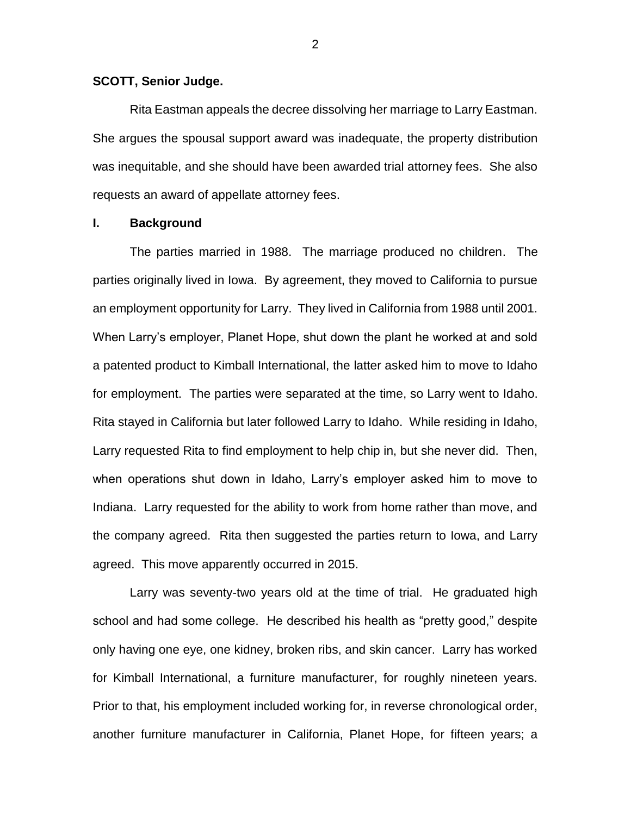#### **SCOTT, Senior Judge.**

Rita Eastman appeals the decree dissolving her marriage to Larry Eastman. She argues the spousal support award was inadequate, the property distribution was inequitable, and she should have been awarded trial attorney fees. She also requests an award of appellate attorney fees.

### **I. Background**

The parties married in 1988. The marriage produced no children. The parties originally lived in Iowa. By agreement, they moved to California to pursue an employment opportunity for Larry. They lived in California from 1988 until 2001. When Larry's employer, Planet Hope, shut down the plant he worked at and sold a patented product to Kimball International, the latter asked him to move to Idaho for employment. The parties were separated at the time, so Larry went to Idaho. Rita stayed in California but later followed Larry to Idaho. While residing in Idaho, Larry requested Rita to find employment to help chip in, but she never did. Then, when operations shut down in Idaho, Larry's employer asked him to move to Indiana. Larry requested for the ability to work from home rather than move, and the company agreed. Rita then suggested the parties return to Iowa, and Larry agreed. This move apparently occurred in 2015.

Larry was seventy-two years old at the time of trial. He graduated high school and had some college. He described his health as "pretty good," despite only having one eye, one kidney, broken ribs, and skin cancer. Larry has worked for Kimball International, a furniture manufacturer, for roughly nineteen years. Prior to that, his employment included working for, in reverse chronological order, another furniture manufacturer in California, Planet Hope, for fifteen years; a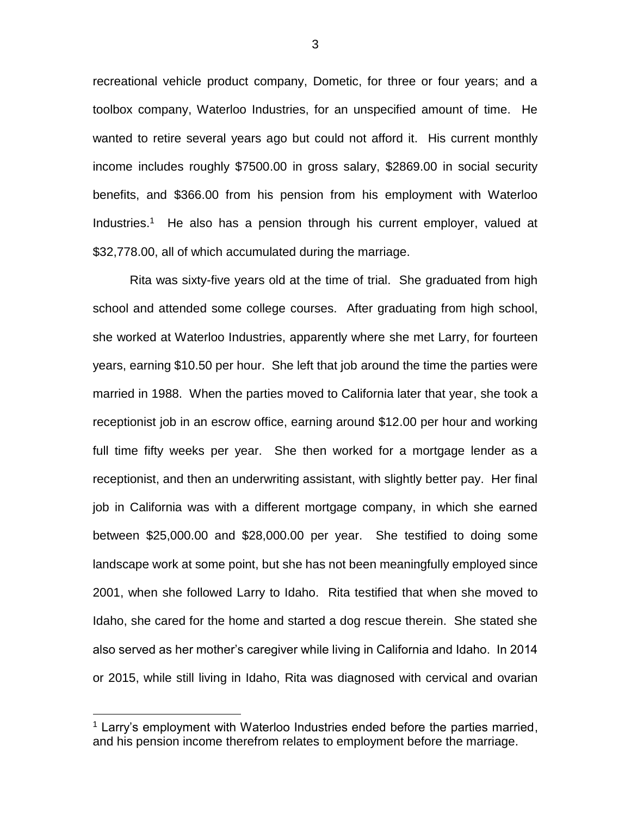recreational vehicle product company, Dometic, for three or four years; and a toolbox company, Waterloo Industries, for an unspecified amount of time. He wanted to retire several years ago but could not afford it. His current monthly income includes roughly \$7500.00 in gross salary, \$2869.00 in social security benefits, and \$366.00 from his pension from his employment with Waterloo Industries.<sup>1</sup> He also has a pension through his current employer, valued at \$32,778.00, all of which accumulated during the marriage.

Rita was sixty-five years old at the time of trial. She graduated from high school and attended some college courses. After graduating from high school, she worked at Waterloo Industries, apparently where she met Larry, for fourteen years, earning \$10.50 per hour. She left that job around the time the parties were married in 1988. When the parties moved to California later that year, she took a receptionist job in an escrow office, earning around \$12.00 per hour and working full time fifty weeks per year. She then worked for a mortgage lender as a receptionist, and then an underwriting assistant, with slightly better pay. Her final job in California was with a different mortgage company, in which she earned between \$25,000.00 and \$28,000.00 per year. She testified to doing some landscape work at some point, but she has not been meaningfully employed since 2001, when she followed Larry to Idaho. Rita testified that when she moved to Idaho, she cared for the home and started a dog rescue therein. She stated she also served as her mother's caregiver while living in California and Idaho. In 2014 or 2015, while still living in Idaho, Rita was diagnosed with cervical and ovarian

 $\overline{a}$ 

<sup>&</sup>lt;sup>1</sup> Larry's employment with Waterloo Industries ended before the parties married, and his pension income therefrom relates to employment before the marriage.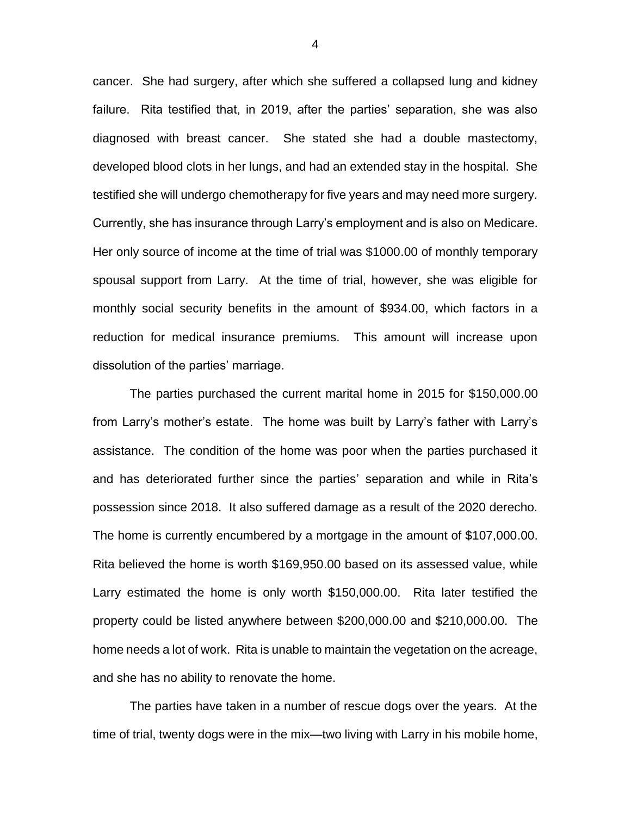cancer. She had surgery, after which she suffered a collapsed lung and kidney failure. Rita testified that, in 2019, after the parties' separation, she was also diagnosed with breast cancer. She stated she had a double mastectomy, developed blood clots in her lungs, and had an extended stay in the hospital. She testified she will undergo chemotherapy for five years and may need more surgery. Currently, she has insurance through Larry's employment and is also on Medicare. Her only source of income at the time of trial was \$1000.00 of monthly temporary spousal support from Larry. At the time of trial, however, she was eligible for monthly social security benefits in the amount of \$934.00, which factors in a reduction for medical insurance premiums. This amount will increase upon dissolution of the parties' marriage.

The parties purchased the current marital home in 2015 for \$150,000.00 from Larry's mother's estate. The home was built by Larry's father with Larry's assistance. The condition of the home was poor when the parties purchased it and has deteriorated further since the parties' separation and while in Rita's possession since 2018. It also suffered damage as a result of the 2020 derecho. The home is currently encumbered by a mortgage in the amount of \$107,000.00. Rita believed the home is worth \$169,950.00 based on its assessed value, while Larry estimated the home is only worth \$150,000.00. Rita later testified the property could be listed anywhere between \$200,000.00 and \$210,000.00. The home needs a lot of work. Rita is unable to maintain the vegetation on the acreage, and she has no ability to renovate the home.

The parties have taken in a number of rescue dogs over the years. At the time of trial, twenty dogs were in the mix—two living with Larry in his mobile home,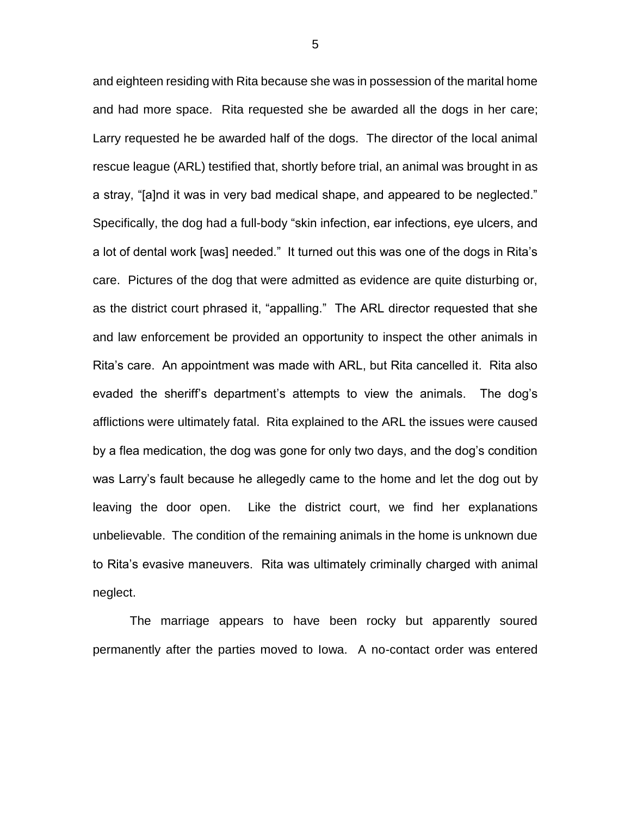and eighteen residing with Rita because she was in possession of the marital home and had more space. Rita requested she be awarded all the dogs in her care; Larry requested he be awarded half of the dogs. The director of the local animal rescue league (ARL) testified that, shortly before trial, an animal was brought in as a stray, "[a]nd it was in very bad medical shape, and appeared to be neglected." Specifically, the dog had a full-body "skin infection, ear infections, eye ulcers, and a lot of dental work [was] needed." It turned out this was one of the dogs in Rita's care. Pictures of the dog that were admitted as evidence are quite disturbing or, as the district court phrased it, "appalling." The ARL director requested that she and law enforcement be provided an opportunity to inspect the other animals in Rita's care. An appointment was made with ARL, but Rita cancelled it. Rita also evaded the sheriff's department's attempts to view the animals. The dog's afflictions were ultimately fatal. Rita explained to the ARL the issues were caused by a flea medication, the dog was gone for only two days, and the dog's condition was Larry's fault because he allegedly came to the home and let the dog out by leaving the door open. Like the district court, we find her explanations unbelievable. The condition of the remaining animals in the home is unknown due to Rita's evasive maneuvers. Rita was ultimately criminally charged with animal neglect.

The marriage appears to have been rocky but apparently soured permanently after the parties moved to Iowa. A no-contact order was entered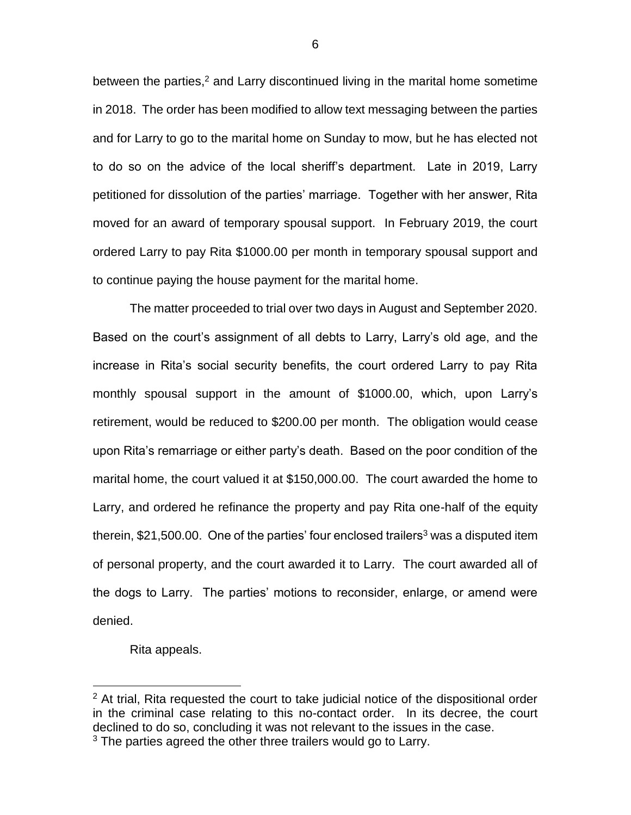between the parties, $2$  and Larry discontinued living in the marital home sometime in 2018. The order has been modified to allow text messaging between the parties and for Larry to go to the marital home on Sunday to mow, but he has elected not to do so on the advice of the local sheriff's department. Late in 2019, Larry petitioned for dissolution of the parties' marriage. Together with her answer, Rita moved for an award of temporary spousal support. In February 2019, the court ordered Larry to pay Rita \$1000.00 per month in temporary spousal support and to continue paying the house payment for the marital home.

The matter proceeded to trial over two days in August and September 2020. Based on the court's assignment of all debts to Larry, Larry's old age, and the increase in Rita's social security benefits, the court ordered Larry to pay Rita monthly spousal support in the amount of \$1000.00, which, upon Larry's retirement, would be reduced to \$200.00 per month. The obligation would cease upon Rita's remarriage or either party's death. Based on the poor condition of the marital home, the court valued it at \$150,000.00. The court awarded the home to Larry, and ordered he refinance the property and pay Rita one-half of the equity therein,  $$21,500.00$ . One of the parties' four enclosed trailers<sup>3</sup> was a disputed item of personal property, and the court awarded it to Larry. The court awarded all of the dogs to Larry. The parties' motions to reconsider, enlarge, or amend were denied.

Rita appeals.

 $\overline{a}$ 

 $2$  At trial, Rita requested the court to take judicial notice of the dispositional order in the criminal case relating to this no-contact order. In its decree, the court declined to do so, concluding it was not relevant to the issues in the case. <sup>3</sup> The parties agreed the other three trailers would go to Larry.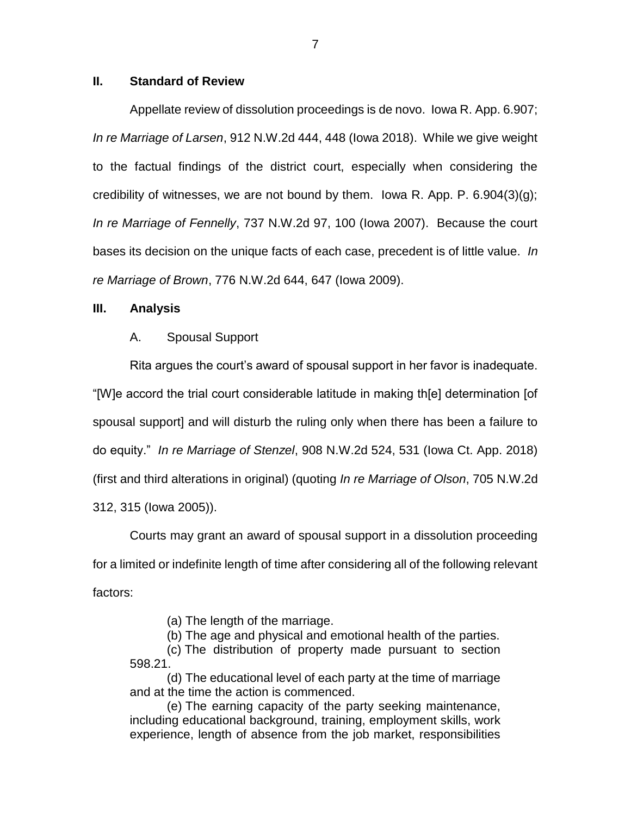### **II. Standard of Review**

Appellate review of dissolution proceedings is de novo. Iowa R. App. 6.907; *In re Marriage of Larsen*, 912 N.W.2d 444, 448 (Iowa 2018). While we give weight to the factual findings of the district court, especially when considering the credibility of witnesses, we are not bound by them. Iowa R. App. P.  $6.904(3)(q)$ ; *In re Marriage of Fennelly*, 737 N.W.2d 97, 100 (Iowa 2007). Because the court bases its decision on the unique facts of each case, precedent is of little value. *In re Marriage of Brown*, 776 N.W.2d 644, 647 (Iowa 2009).

### **III. Analysis**

#### A. Spousal Support

Rita argues the court's award of spousal support in her favor is inadequate. "[W]e accord the trial court considerable latitude in making th[e] determination [of spousal support] and will disturb the ruling only when there has been a failure to do equity." *In re Marriage of Stenzel*, 908 N.W.2d 524, 531 (Iowa Ct. App. 2018) (first and third alterations in original) (quoting *In re Marriage of Olson*, 705 N.W.2d 312, 315 (Iowa 2005)).

Courts may grant an award of spousal support in a dissolution proceeding for a limited or indefinite length of time after considering all of the following relevant factors:

(a) The length of the marriage.

(b) The age and physical and emotional health of the parties.

(c) The distribution of property made pursuant to section 598.21.

(d) The educational level of each party at the time of marriage and at the time the action is commenced.

(e) The earning capacity of the party seeking maintenance, including educational background, training, employment skills, work experience, length of absence from the job market, responsibilities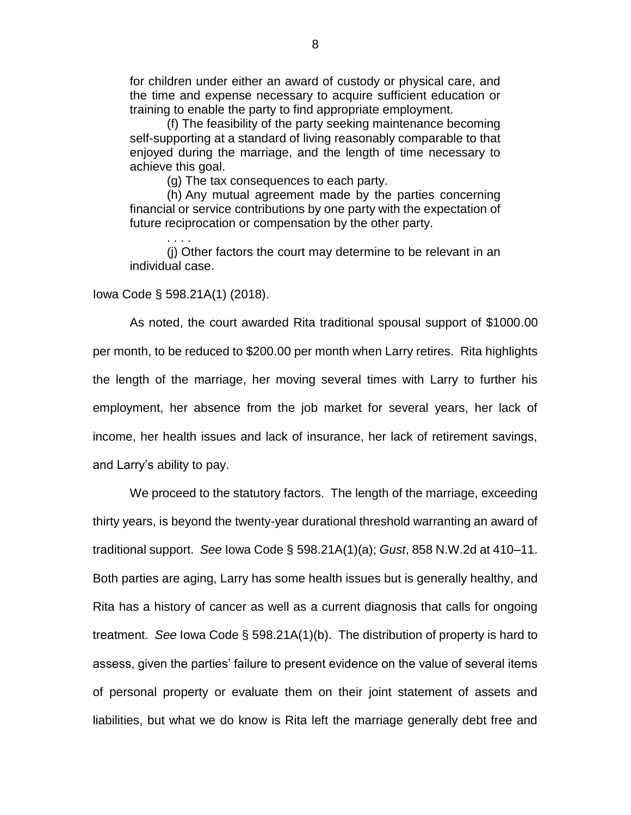for children under either an award of custody or physical care, and the time and expense necessary to acquire sufficient education or training to enable the party to find appropriate employment.

(f) The feasibility of the party seeking maintenance becoming self-supporting at a standard of living reasonably comparable to that enjoyed during the marriage, and the length of time necessary to achieve this goal.

(g) The tax consequences to each party.

(h) Any mutual agreement made by the parties concerning financial or service contributions by one party with the expectation of future reciprocation or compensation by the other party.

(j) Other factors the court may determine to be relevant in an individual case.

#### Iowa Code § 598.21A(1) (2018).

. . . .

As noted, the court awarded Rita traditional spousal support of \$1000.00 per month, to be reduced to \$200.00 per month when Larry retires. Rita highlights the length of the marriage, her moving several times with Larry to further his employment, her absence from the job market for several years, her lack of income, her health issues and lack of insurance, her lack of retirement savings, and Larry's ability to pay.

We proceed to the statutory factors. The length of the marriage, exceeding thirty years, is beyond the twenty-year durational threshold warranting an award of traditional support. *See* Iowa Code § 598.21A(1)(a); *Gust*, 858 N.W.2d at 410–11. Both parties are aging, Larry has some health issues but is generally healthy, and Rita has a history of cancer as well as a current diagnosis that calls for ongoing treatment. *See* Iowa Code § 598.21A(1)(b). The distribution of property is hard to assess, given the parties' failure to present evidence on the value of several items of personal property or evaluate them on their joint statement of assets and liabilities, but what we do know is Rita left the marriage generally debt free and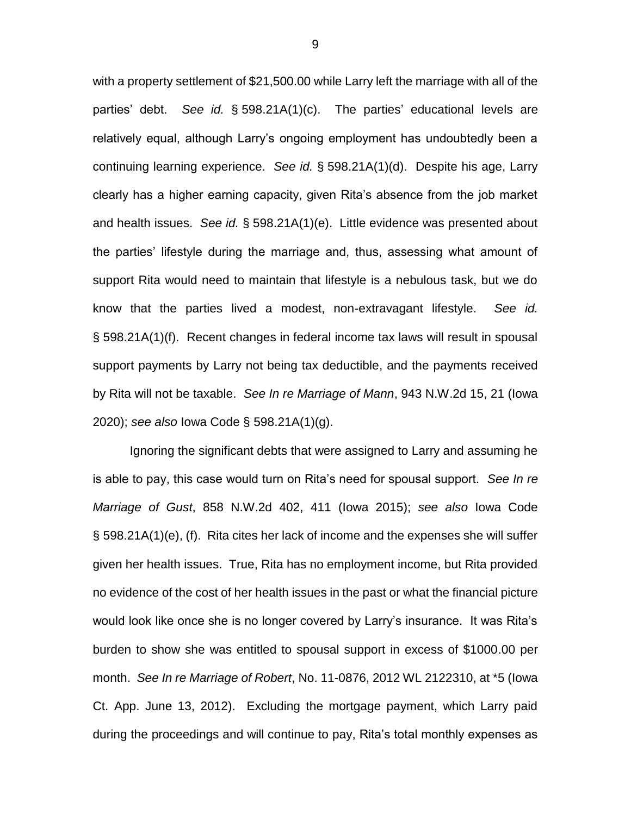with a property settlement of \$21,500.00 while Larry left the marriage with all of the parties' debt. *See id.* § 598.21A(1)(c). The parties' educational levels are relatively equal, although Larry's ongoing employment has undoubtedly been a continuing learning experience. *See id.* § 598.21A(1)(d). Despite his age, Larry clearly has a higher earning capacity, given Rita's absence from the job market and health issues. *See id.* § 598.21A(1)(e). Little evidence was presented about the parties' lifestyle during the marriage and, thus, assessing what amount of support Rita would need to maintain that lifestyle is a nebulous task, but we do know that the parties lived a modest, non-extravagant lifestyle. *See id.* § 598.21A(1)(f). Recent changes in federal income tax laws will result in spousal support payments by Larry not being tax deductible, and the payments received by Rita will not be taxable. *See In re Marriage of Mann*, 943 N.W.2d 15, 21 (Iowa 2020); *see also* Iowa Code § 598.21A(1)(g).

Ignoring the significant debts that were assigned to Larry and assuming he is able to pay, this case would turn on Rita's need for spousal support. *See In re Marriage of Gust*, 858 N.W.2d 402, 411 (Iowa 2015); *see also* Iowa Code § 598.21A(1)(e), (f). Rita cites her lack of income and the expenses she will suffer given her health issues. True, Rita has no employment income, but Rita provided no evidence of the cost of her health issues in the past or what the financial picture would look like once she is no longer covered by Larry's insurance. It was Rita's burden to show she was entitled to spousal support in excess of \$1000.00 per month. *See In re Marriage of Robert*, No. 11-0876, 2012 WL 2122310, at \*5 (Iowa Ct. App. June 13, 2012). Excluding the mortgage payment, which Larry paid during the proceedings and will continue to pay, Rita's total monthly expenses as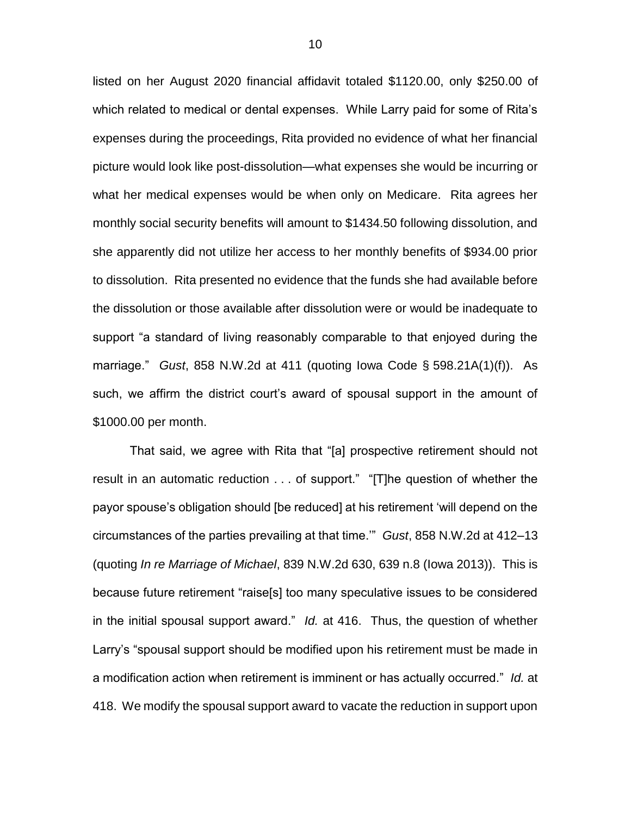listed on her August 2020 financial affidavit totaled \$1120.00, only \$250.00 of which related to medical or dental expenses. While Larry paid for some of Rita's expenses during the proceedings, Rita provided no evidence of what her financial picture would look like post-dissolution—what expenses she would be incurring or what her medical expenses would be when only on Medicare. Rita agrees her monthly social security benefits will amount to \$1434.50 following dissolution, and she apparently did not utilize her access to her monthly benefits of \$934.00 prior to dissolution. Rita presented no evidence that the funds she had available before the dissolution or those available after dissolution were or would be inadequate to support "a standard of living reasonably comparable to that enjoyed during the marriage." *Gust*, 858 N.W.2d at 411 (quoting Iowa Code § 598.21A(1)(f)). As such, we affirm the district court's award of spousal support in the amount of \$1000.00 per month.

That said, we agree with Rita that "[a] prospective retirement should not result in an automatic reduction . . . of support." "[T]he question of whether the payor spouse's obligation should [be reduced] at his retirement 'will depend on the circumstances of the parties prevailing at that time.'" *Gust*, 858 N.W.2d at 412–13 (quoting *In re Marriage of Michael*, 839 N.W.2d 630, 639 n.8 (Iowa 2013)). This is because future retirement "raise[s] too many speculative issues to be considered in the initial spousal support award." *Id.* at 416. Thus, the question of whether Larry's "spousal support should be modified upon his retirement must be made in a modification action when retirement is imminent or has actually occurred." *Id.* at 418. We modify the spousal support award to vacate the reduction in support upon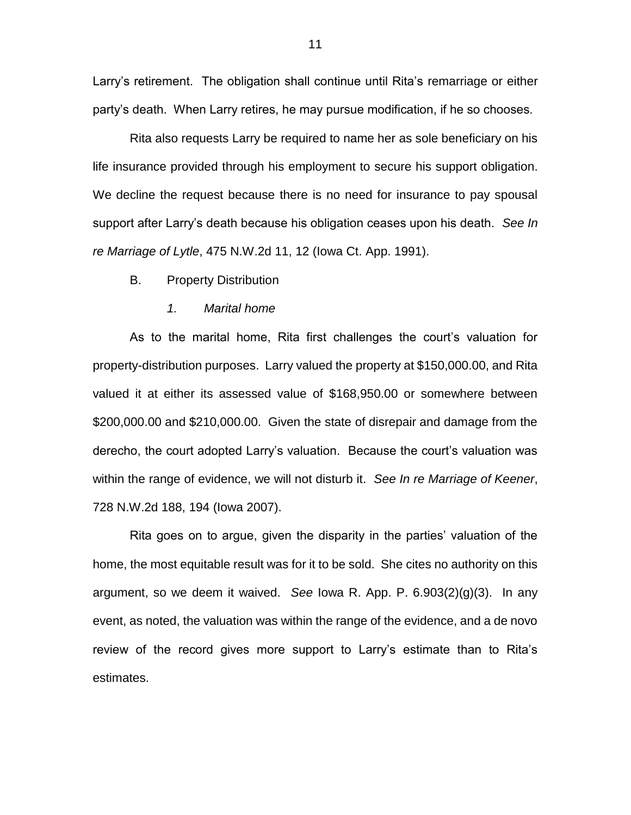Larry's retirement. The obligation shall continue until Rita's remarriage or either party's death. When Larry retires, he may pursue modification, if he so chooses.

Rita also requests Larry be required to name her as sole beneficiary on his life insurance provided through his employment to secure his support obligation. We decline the request because there is no need for insurance to pay spousal support after Larry's death because his obligation ceases upon his death. *See In re Marriage of Lytle*, 475 N.W.2d 11, 12 (Iowa Ct. App. 1991).

B. Property Distribution

#### *1. Marital home*

As to the marital home, Rita first challenges the court's valuation for property-distribution purposes. Larry valued the property at \$150,000.00, and Rita valued it at either its assessed value of \$168,950.00 or somewhere between \$200,000.00 and \$210,000.00. Given the state of disrepair and damage from the derecho, the court adopted Larry's valuation. Because the court's valuation was within the range of evidence, we will not disturb it. *See In re Marriage of Keener*, 728 N.W.2d 188, 194 (Iowa 2007).

Rita goes on to argue, given the disparity in the parties' valuation of the home, the most equitable result was for it to be sold. She cites no authority on this argument, so we deem it waived. *See* Iowa R. App. P. 6.903(2)(g)(3). In any event, as noted, the valuation was within the range of the evidence, and a de novo review of the record gives more support to Larry's estimate than to Rita's estimates.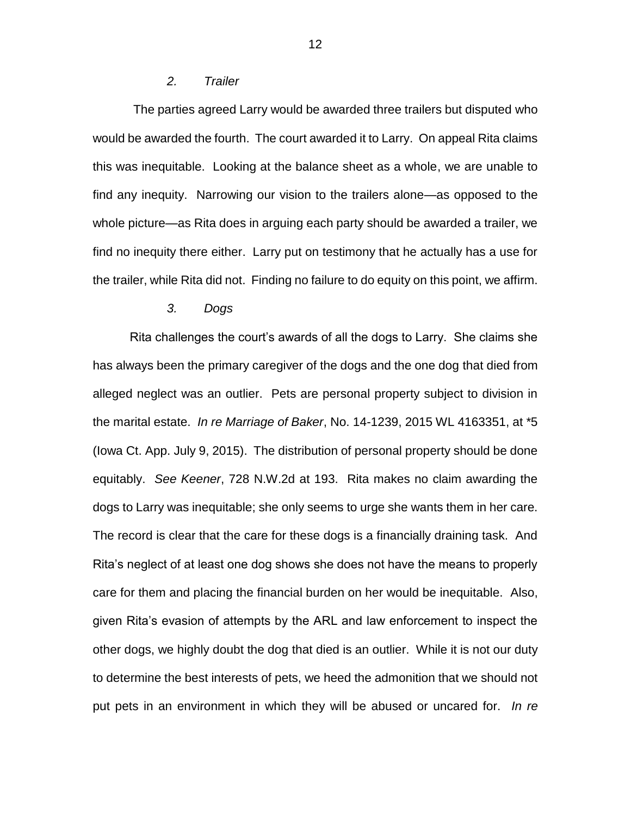### *2. Trailer*

The parties agreed Larry would be awarded three trailers but disputed who would be awarded the fourth. The court awarded it to Larry. On appeal Rita claims this was inequitable. Looking at the balance sheet as a whole, we are unable to find any inequity. Narrowing our vision to the trailers alone—as opposed to the whole picture—as Rita does in arguing each party should be awarded a trailer, we find no inequity there either. Larry put on testimony that he actually has a use for the trailer, while Rita did not. Finding no failure to do equity on this point, we affirm.

#### *3. Dogs*

Rita challenges the court's awards of all the dogs to Larry. She claims she has always been the primary caregiver of the dogs and the one dog that died from alleged neglect was an outlier. Pets are personal property subject to division in the marital estate. *In re Marriage of Baker*, No. 14-1239, 2015 WL 4163351, at \*5 (Iowa Ct. App. July 9, 2015). The distribution of personal property should be done equitably. *See Keener*, 728 N.W.2d at 193.Rita makes no claim awarding the dogs to Larry was inequitable; she only seems to urge she wants them in her care. The record is clear that the care for these dogs is a financially draining task. And Rita's neglect of at least one dog shows she does not have the means to properly care for them and placing the financial burden on her would be inequitable. Also, given Rita's evasion of attempts by the ARL and law enforcement to inspect the other dogs, we highly doubt the dog that died is an outlier. While it is not our duty to determine the best interests of pets, we heed the admonition that we should not put pets in an environment in which they will be abused or uncared for. *In re*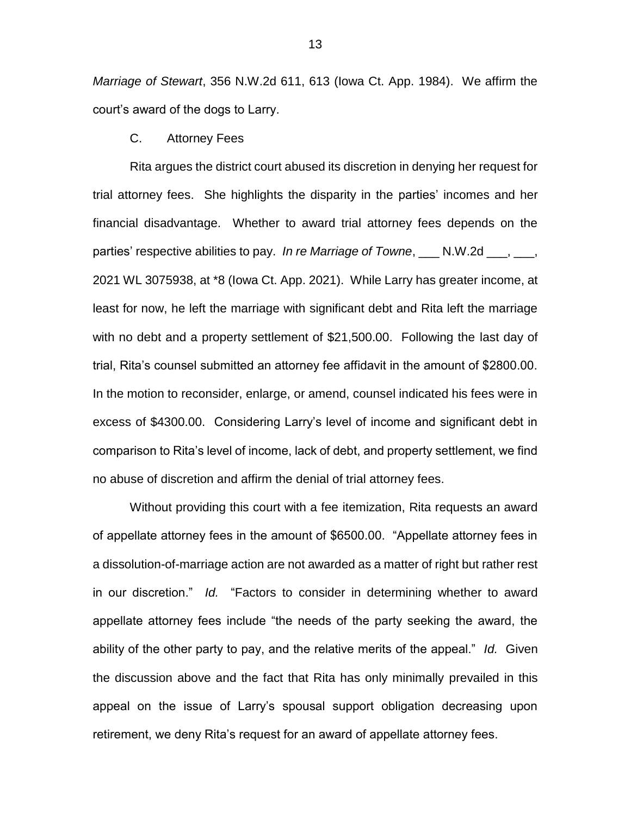*Marriage of Stewart*, 356 N.W.2d 611, 613 (Iowa Ct. App. 1984). We affirm the court's award of the dogs to Larry.

C. Attorney Fees

Rita argues the district court abused its discretion in denying her request for trial attorney fees. She highlights the disparity in the parties' incomes and her financial disadvantage. Whether to award trial attorney fees depends on the parties' respective abilities to pay. *In re Marriage of Towne*, \_\_\_ N.W.2d \_\_\_, \_\_\_, 2021 WL 3075938, at \*8 (Iowa Ct. App. 2021).While Larry has greater income, at least for now, he left the marriage with significant debt and Rita left the marriage with no debt and a property settlement of \$21,500.00. Following the last day of trial, Rita's counsel submitted an attorney fee affidavit in the amount of \$2800.00. In the motion to reconsider, enlarge, or amend, counsel indicated his fees were in excess of \$4300.00. Considering Larry's level of income and significant debt in comparison to Rita's level of income, lack of debt, and property settlement, we find no abuse of discretion and affirm the denial of trial attorney fees.

Without providing this court with a fee itemization, Rita requests an award of appellate attorney fees in the amount of \$6500.00. "Appellate attorney fees in a dissolution-of-marriage action are not awarded as a matter of right but rather rest in our discretion." *Id.* "Factors to consider in determining whether to award appellate attorney fees include "the needs of the party seeking the award, the ability of the other party to pay, and the relative merits of the appeal." *Id.* Given the discussion above and the fact that Rita has only minimally prevailed in this appeal on the issue of Larry's spousal support obligation decreasing upon retirement, we deny Rita's request for an award of appellate attorney fees.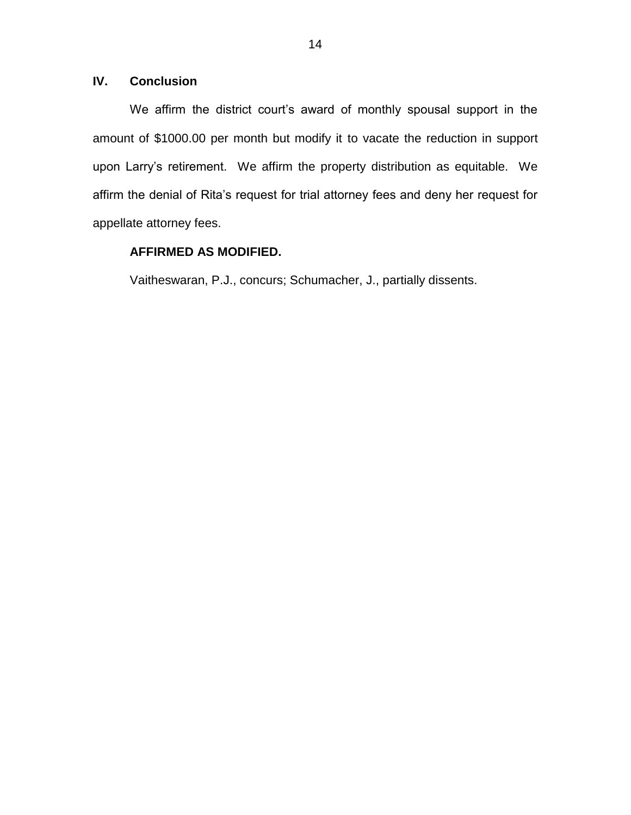# **IV. Conclusion**

We affirm the district court's award of monthly spousal support in the amount of \$1000.00 per month but modify it to vacate the reduction in support upon Larry's retirement. We affirm the property distribution as equitable. We affirm the denial of Rita's request for trial attorney fees and deny her request for appellate attorney fees.

# **AFFIRMED AS MODIFIED.**

Vaitheswaran, P.J., concurs; Schumacher, J., partially dissents.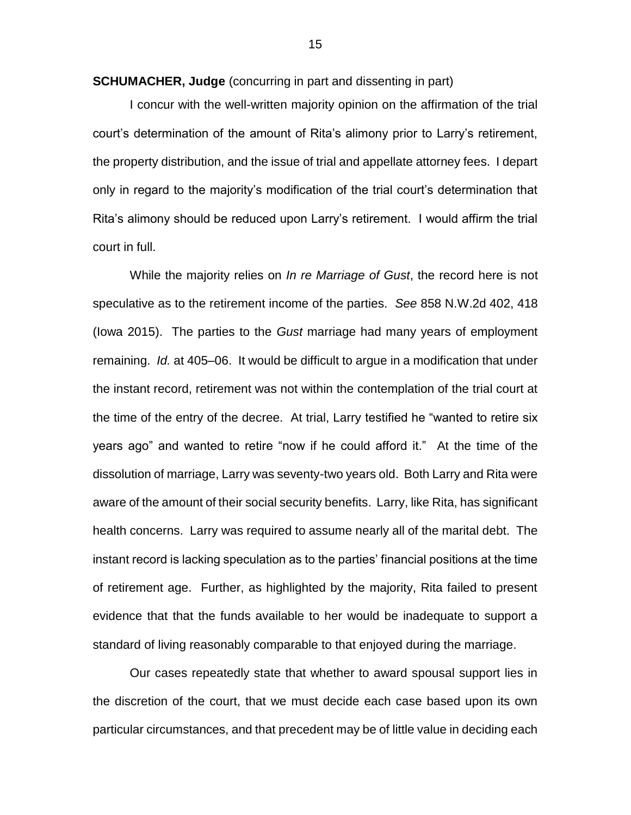**SCHUMACHER, Judge** (concurring in part and dissenting in part)

I concur with the well-written majority opinion on the affirmation of the trial court's determination of the amount of Rita's alimony prior to Larry's retirement, the property distribution, and the issue of trial and appellate attorney fees. I depart only in regard to the majority's modification of the trial court's determination that Rita's alimony should be reduced upon Larry's retirement. I would affirm the trial court in full.

While the majority relies on *In re Marriage of Gust*, the record here is not speculative as to the retirement income of the parties. *See* 858 N.W.2d 402, 418 (Iowa 2015). The parties to the *Gust* marriage had many years of employment remaining. *Id.* at 405–06. It would be difficult to argue in a modification that under the instant record, retirement was not within the contemplation of the trial court at the time of the entry of the decree. At trial, Larry testified he "wanted to retire six years ago" and wanted to retire "now if he could afford it." At the time of the dissolution of marriage, Larry was seventy-two years old. Both Larry and Rita were aware of the amount of their social security benefits. Larry, like Rita, has significant health concerns. Larry was required to assume nearly all of the marital debt. The instant record is lacking speculation as to the parties' financial positions at the time of retirement age. Further, as highlighted by the majority, Rita failed to present evidence that that the funds available to her would be inadequate to support a standard of living reasonably comparable to that enjoyed during the marriage.

Our cases repeatedly state that whether to award spousal support lies in the discretion of the court, that we must decide each case based upon its own particular circumstances, and that precedent may be of little value in deciding each